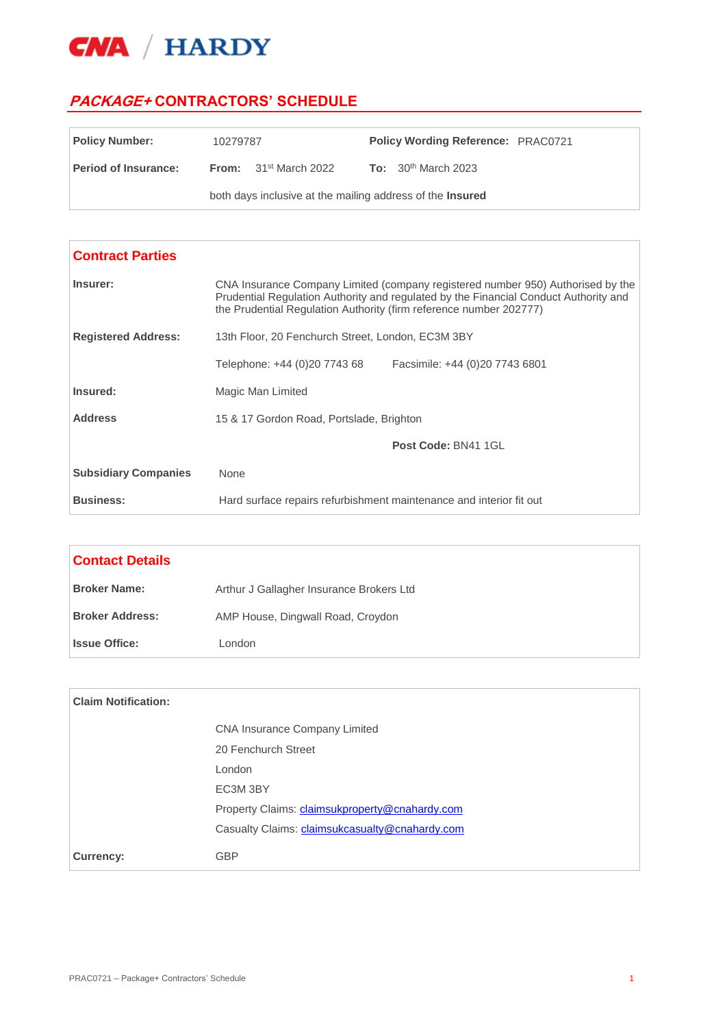

 $\Gamma$ 

## **PACKAGE+ CONTRACTORS' SCHEDULE**

| <b>Policy Number:</b>       | 10279787                                                         |                                |  | <b>Policy Wording Reference: PRAC0721</b> |  |
|-----------------------------|------------------------------------------------------------------|--------------------------------|--|-------------------------------------------|--|
| <b>Period of Insurance:</b> |                                                                  | <b>From:</b> $31st March 2022$ |  | <b>To:</b> $30^{th}$ March 2023           |  |
|                             | both days inclusive at the mailing address of the <b>Insured</b> |                                |  |                                           |  |

| <b>Contract Parties</b>     |                                                                                                                                                                                                                                               |                                |  |
|-----------------------------|-----------------------------------------------------------------------------------------------------------------------------------------------------------------------------------------------------------------------------------------------|--------------------------------|--|
| Insurer:                    | CNA Insurance Company Limited (company registered number 950) Authorised by the<br>Prudential Regulation Authority and regulated by the Financial Conduct Authority and<br>the Prudential Regulation Authority (firm reference number 202777) |                                |  |
| <b>Registered Address:</b>  | 13th Floor, 20 Fenchurch Street, London, EC3M 3BY                                                                                                                                                                                             |                                |  |
|                             | Telephone: +44 (0)20 7743 68                                                                                                                                                                                                                  | Facsimile: +44 (0)20 7743 6801 |  |
| Insured:                    | Magic Man Limited                                                                                                                                                                                                                             |                                |  |
| <b>Address</b>              | 15 & 17 Gordon Road, Portslade, Brighton                                                                                                                                                                                                      |                                |  |
|                             |                                                                                                                                                                                                                                               | Post Code: BN41 1GL            |  |
| <b>Subsidiary Companies</b> | None                                                                                                                                                                                                                                          |                                |  |
| <b>Business:</b>            | Hard surface repairs refurbishment maintenance and interior fit out                                                                                                                                                                           |                                |  |

| <b>Contact Details</b> |                                          |
|------------------------|------------------------------------------|
| <b>Broker Name:</b>    | Arthur J Gallagher Insurance Brokers Ltd |
| <b>Broker Address:</b> | AMP House, Dingwall Road, Croydon        |
| <b>Issue Office:</b>   | London                                   |

| <b>Claim Notification:</b> |                                                |
|----------------------------|------------------------------------------------|
|                            | <b>CNA Insurance Company Limited</b>           |
|                            | 20 Fenchurch Street                            |
|                            | London                                         |
|                            | EC3M 3BY                                       |
|                            | Property Claims: claimsukproperty@cnahardy.com |
|                            | Casualty Claims: claimsukcasualty@cnahardy.com |
| <b>Currency:</b>           | <b>GBP</b>                                     |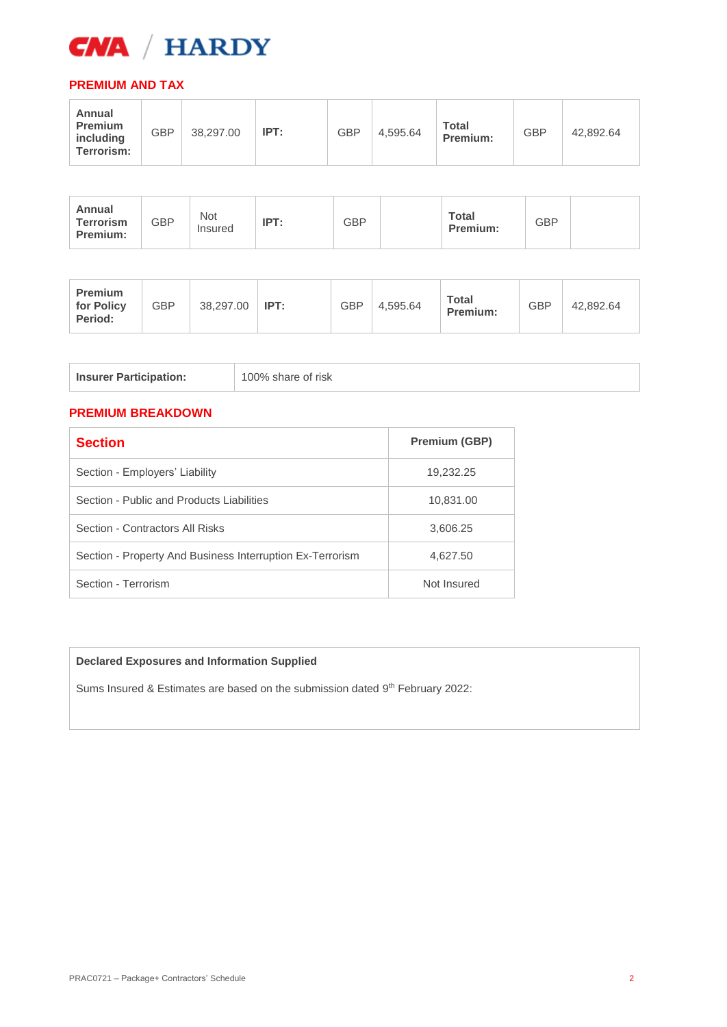

## **PREMIUM AND TAX**

| Annual<br><b>Terrorism</b><br>Premium: | <b>GBP</b> | Not<br>Insured | IPT: | <b>GBP</b> |  | <b>Total</b><br>Premium: | <b>GBP</b> |  |
|----------------------------------------|------------|----------------|------|------------|--|--------------------------|------------|--|
|----------------------------------------|------------|----------------|------|------------|--|--------------------------|------------|--|

| <b>Premium</b><br>for Policy<br>Period: | GBP | 38,297.00 | IPT: | <b>GBP</b> | 4,595.64 | <b>Total</b><br>Premium: | <b>GBP</b> | 42.892.64 |
|-----------------------------------------|-----|-----------|------|------------|----------|--------------------------|------------|-----------|
|-----------------------------------------|-----|-----------|------|------------|----------|--------------------------|------------|-----------|

| 100% share of risk<br><b>Insurer Participation:</b> |
|-----------------------------------------------------|
|-----------------------------------------------------|

## **PREMIUM BREAKDOWN**

| <b>Section</b>                                            | <b>Premium (GBP)</b> |
|-----------------------------------------------------------|----------------------|
| Section - Employers' Liability                            | 19,232.25            |
| Section - Public and Products Liabilities                 | 10,831.00            |
| Section - Contractors All Risks                           | 3,606.25             |
| Section - Property And Business Interruption Ex-Terrorism | 4,627.50             |
| Section - Terrorism                                       | Not Insured          |

## **Declared Exposures and Information Supplied**

Sums Insured & Estimates are based on the submission dated 9<sup>th</sup> February 2022: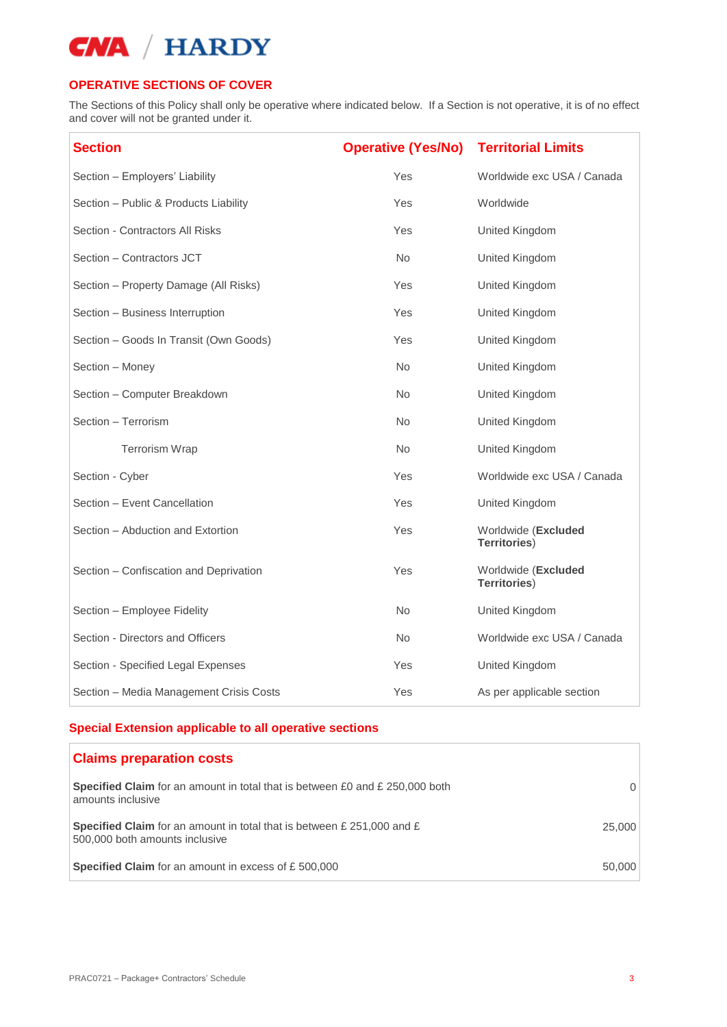## **OPERATIVE SECTIONS OF COVER**

The Sections of this Policy shall only be operative where indicated below. If a Section is not operative, it is of no effect and cover will not be granted under it.

| <b>Section</b>                          | <b>Operative (Yes/No)</b> | <b>Territorial Limits</b>                  |
|-----------------------------------------|---------------------------|--------------------------------------------|
| Section - Employers' Liability          | Yes                       | Worldwide exc USA / Canada                 |
| Section - Public & Products Liability   | Yes                       | Worldwide                                  |
| Section - Contractors All Risks         | Yes                       | United Kingdom                             |
| Section - Contractors JCT               | <b>No</b>                 | United Kingdom                             |
| Section - Property Damage (All Risks)   | Yes                       | United Kingdom                             |
| Section - Business Interruption         | Yes                       | United Kingdom                             |
| Section - Goods In Transit (Own Goods)  | Yes                       | United Kingdom                             |
| Section - Money                         | <b>No</b>                 | United Kingdom                             |
| Section - Computer Breakdown            | <b>No</b>                 | United Kingdom                             |
| Section - Terrorism                     | No.                       | United Kingdom                             |
| Terrorism Wrap                          | <b>No</b>                 | United Kingdom                             |
| Section - Cyber                         | Yes                       | Worldwide exc USA / Canada                 |
| Section - Event Cancellation            | Yes                       | United Kingdom                             |
| Section - Abduction and Extortion       | Yes                       | Worldwide (Excluded<br><b>Territories)</b> |
| Section - Confiscation and Deprivation  | Yes                       | Worldwide (Excluded<br><b>Territories)</b> |
| Section - Employee Fidelity             | No                        | United Kingdom                             |
| Section - Directors and Officers        | No.                       | Worldwide exc USA / Canada                 |
| Section - Specified Legal Expenses      | Yes                       | United Kingdom                             |
| Section - Media Management Crisis Costs | Yes                       | As per applicable section                  |

## **Special Extension applicable to all operative sections**

| <b>Claims preparation costs</b>                                                                                 |        |
|-----------------------------------------------------------------------------------------------------------------|--------|
| Specified Claim for an amount in total that is between £0 and £ 250,000 both<br>amounts inclusive               | 0      |
| <b>Specified Claim</b> for an amount in total that is between £ 251,000 and £<br>500,000 both amounts inclusive | 25,000 |
| <b>Specified Claim</b> for an amount in excess of £500,000                                                      | 50,000 |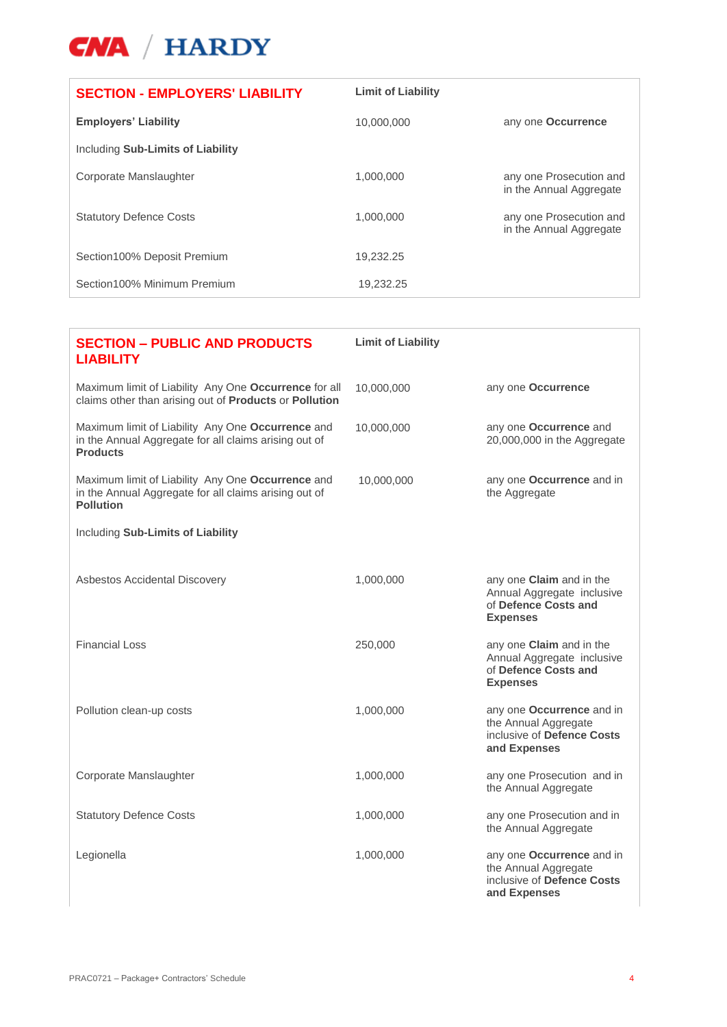

| <b>SECTION - EMPLOYERS' LIABILITY</b> | <b>Limit of Liability</b> |                                                    |
|---------------------------------------|---------------------------|----------------------------------------------------|
| <b>Employers' Liability</b>           | 10.000.000                | any one Occurrence                                 |
| Including Sub-Limits of Liability     |                           |                                                    |
| Corporate Manslaughter                | 1,000,000                 | any one Prosecution and<br>in the Annual Aggregate |
| <b>Statutory Defence Costs</b>        | 1,000,000                 | any one Prosecution and<br>in the Annual Aggregate |
| Section 100% Deposit Premium          | 19.232.25                 |                                                    |
| Section100% Minimum Premium           | 19,232.25                 |                                                    |

| <b>SECTION - PUBLIC AND PRODUCTS</b><br><b>LIABILITY</b>                                                                       | <b>Limit of Liability</b> |                                                                                                   |
|--------------------------------------------------------------------------------------------------------------------------------|---------------------------|---------------------------------------------------------------------------------------------------|
| Maximum limit of Liability Any One Occurrence for all<br>claims other than arising out of Products or Pollution                | 10,000,000                | any one <b>Occurrence</b>                                                                         |
| Maximum limit of Liability Any One Occurrence and<br>in the Annual Aggregate for all claims arising out of<br><b>Products</b>  | 10,000,000                | any one Occurrence and<br>20,000,000 in the Aggregate                                             |
| Maximum limit of Liability Any One Occurrence and<br>in the Annual Aggregate for all claims arising out of<br><b>Pollution</b> | 10,000,000                | any one Occurrence and in<br>the Aggregate                                                        |
| Including Sub-Limits of Liability                                                                                              |                           |                                                                                                   |
| Asbestos Accidental Discovery                                                                                                  | 1,000,000                 | any one Claim and in the<br>Annual Aggregate inclusive<br>of Defence Costs and<br><b>Expenses</b> |
| <b>Financial Loss</b>                                                                                                          | 250,000                   | any one Claim and in the<br>Annual Aggregate inclusive<br>of Defence Costs and<br><b>Expenses</b> |
| Pollution clean-up costs                                                                                                       | 1,000,000                 | any one Occurrence and in<br>the Annual Aggregate<br>inclusive of Defence Costs<br>and Expenses   |
| Corporate Manslaughter                                                                                                         | 1,000,000                 | any one Prosecution and in<br>the Annual Aggregate                                                |
| <b>Statutory Defence Costs</b>                                                                                                 | 1,000,000                 | any one Prosecution and in<br>the Annual Aggregate                                                |
| Legionella                                                                                                                     | 1,000,000                 | any one Occurrence and in<br>the Annual Aggregate<br>inclusive of Defence Costs<br>and Expenses   |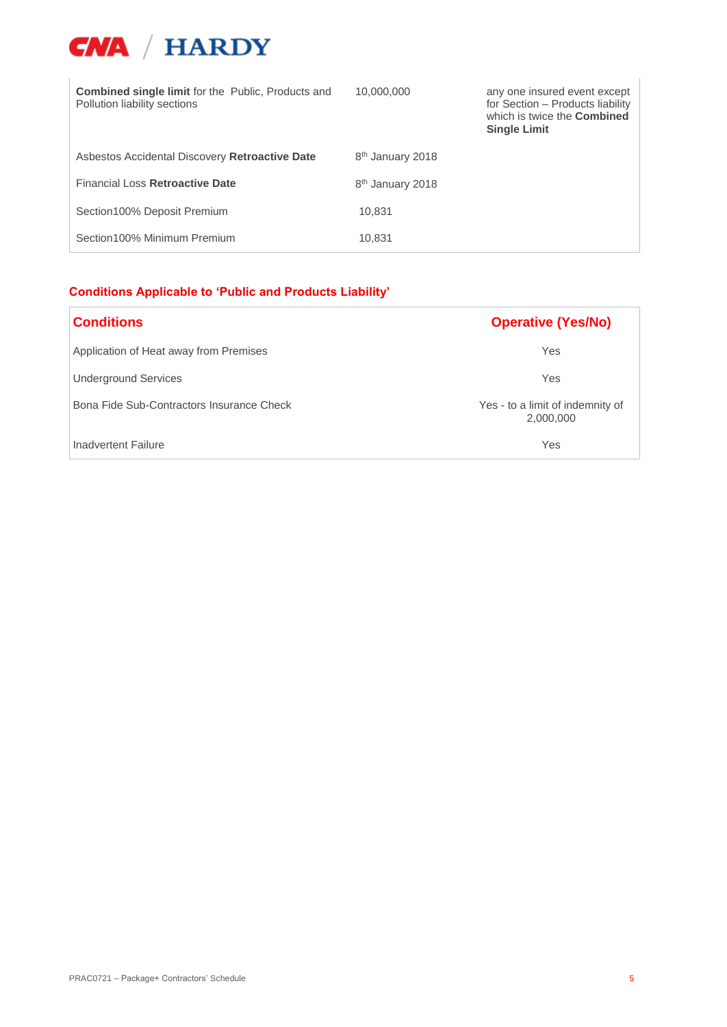

| <b>Combined single limit for the Public, Products and</b><br>Pollution liability sections | 10,000,000                   | any one insured event except<br>for Section - Products liability<br>which is twice the <b>Combined</b><br><b>Single Limit</b> |
|-------------------------------------------------------------------------------------------|------------------------------|-------------------------------------------------------------------------------------------------------------------------------|
| Asbestos Accidental Discovery Retroactive Date                                            | 8 <sup>th</sup> January 2018 |                                                                                                                               |
| Financial Loss Retroactive Date                                                           | 8 <sup>th</sup> January 2018 |                                                                                                                               |
| Section100% Deposit Premium                                                               | 10.831                       |                                                                                                                               |
| Section100% Minimum Premium                                                               | 10,831                       |                                                                                                                               |

## **Conditions Applicable to 'Public and Products Liability'**

| <b>Conditions</b>                         | <b>Operative (Yes/No)</b>                     |
|-------------------------------------------|-----------------------------------------------|
| Application of Heat away from Premises    | Yes                                           |
| <b>Underground Services</b>               | Yes                                           |
| Bona Fide Sub-Contractors Insurance Check | Yes - to a limit of indemnity of<br>2,000,000 |
| Inadvertent Failure                       | Yes                                           |

 $\overline{1}$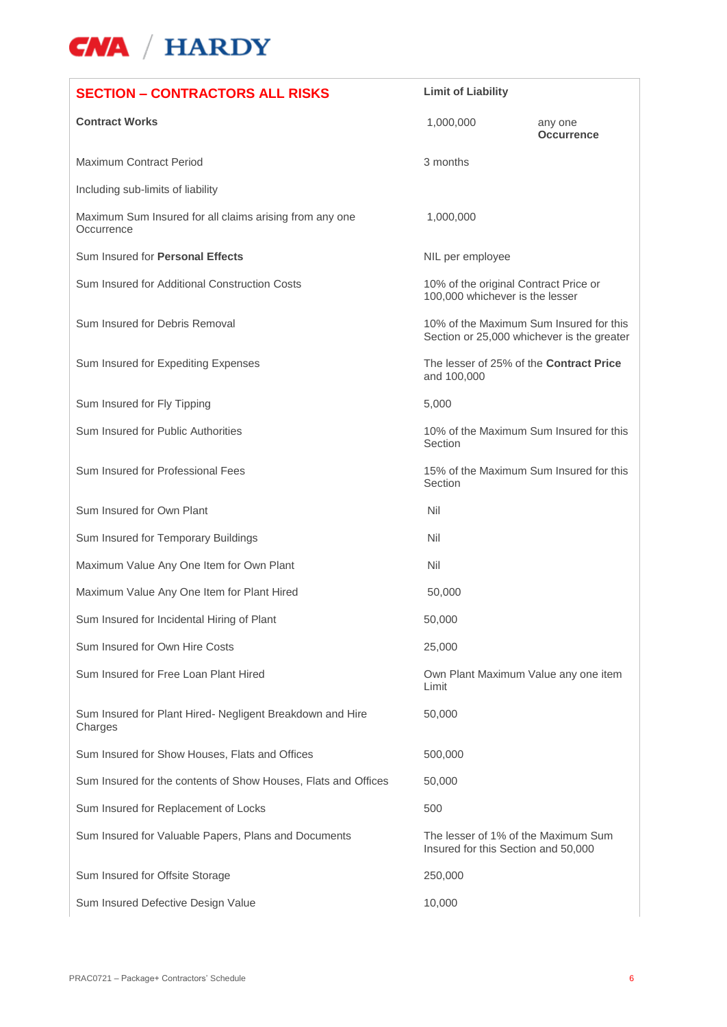| <b>SECTION - CONTRACTORS ALL RISKS</b>                                | <b>Limit of Liability</b>                                                             |                              |
|-----------------------------------------------------------------------|---------------------------------------------------------------------------------------|------------------------------|
| <b>Contract Works</b>                                                 | 1,000,000                                                                             | any one<br><b>Occurrence</b> |
| Maximum Contract Period                                               | 3 months                                                                              |                              |
| Including sub-limits of liability                                     |                                                                                       |                              |
| Maximum Sum Insured for all claims arising from any one<br>Occurrence | 1,000,000                                                                             |                              |
| Sum Insured for Personal Effects                                      | NIL per employee                                                                      |                              |
| Sum Insured for Additional Construction Costs                         | 10% of the original Contract Price or<br>100,000 whichever is the lesser              |                              |
| Sum Insured for Debris Removal                                        | 10% of the Maximum Sum Insured for this<br>Section or 25,000 whichever is the greater |                              |
| Sum Insured for Expediting Expenses                                   | The lesser of 25% of the <b>Contract Price</b><br>and 100,000                         |                              |
| Sum Insured for Fly Tipping                                           | 5,000                                                                                 |                              |
| Sum Insured for Public Authorities                                    | 10% of the Maximum Sum Insured for this<br>Section                                    |                              |
| Sum Insured for Professional Fees                                     | 15% of the Maximum Sum Insured for this<br>Section                                    |                              |
| Sum Insured for Own Plant                                             | Nil                                                                                   |                              |
| Sum Insured for Temporary Buildings                                   | Nil                                                                                   |                              |
| Maximum Value Any One Item for Own Plant                              | Nil                                                                                   |                              |
| Maximum Value Any One Item for Plant Hired                            | 50,000                                                                                |                              |
| Sum Insured for Incidental Hiring of Plant                            | 50,000                                                                                |                              |
| Sum Insured for Own Hire Costs                                        | 25,000                                                                                |                              |
| Sum Insured for Free Loan Plant Hired                                 | Own Plant Maximum Value any one item<br>Limit                                         |                              |
| Sum Insured for Plant Hired- Negligent Breakdown and Hire<br>Charges  | 50,000                                                                                |                              |
| Sum Insured for Show Houses, Flats and Offices                        | 500,000                                                                               |                              |
| Sum Insured for the contents of Show Houses, Flats and Offices        | 50,000                                                                                |                              |
| Sum Insured for Replacement of Locks                                  | 500                                                                                   |                              |
| Sum Insured for Valuable Papers, Plans and Documents                  | The lesser of 1% of the Maximum Sum<br>Insured for this Section and 50,000            |                              |
| Sum Insured for Offsite Storage                                       | 250,000                                                                               |                              |
| Sum Insured Defective Design Value                                    | 10,000                                                                                |                              |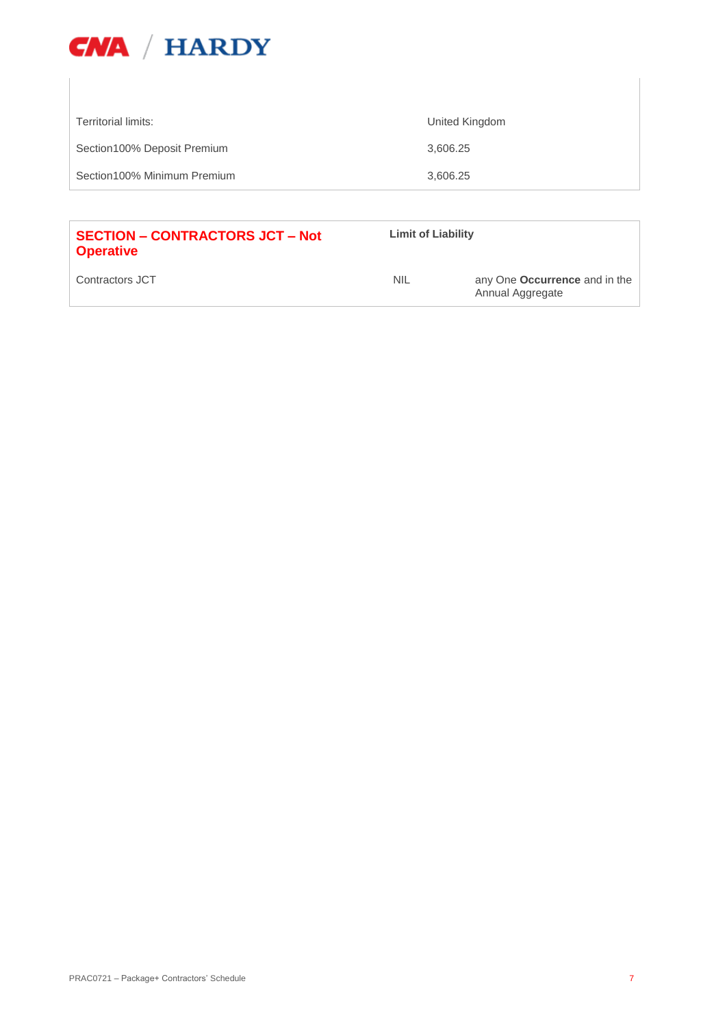

| Territorial limits:         | United Kingdom |
|-----------------------------|----------------|
| Section100% Deposit Premium | 3,606.25       |
| Section100% Minimum Premium | 3,606.25       |
|                             |                |

| <b>SECTION - CONTRACTORS JCT - Not</b><br><b>Operative</b> | <b>Limit of Liability</b> |                                                   |
|------------------------------------------------------------|---------------------------|---------------------------------------------------|
| Contractors JCT                                            | <b>NIL</b>                | any One Occurrence and in the<br>Annual Aggregate |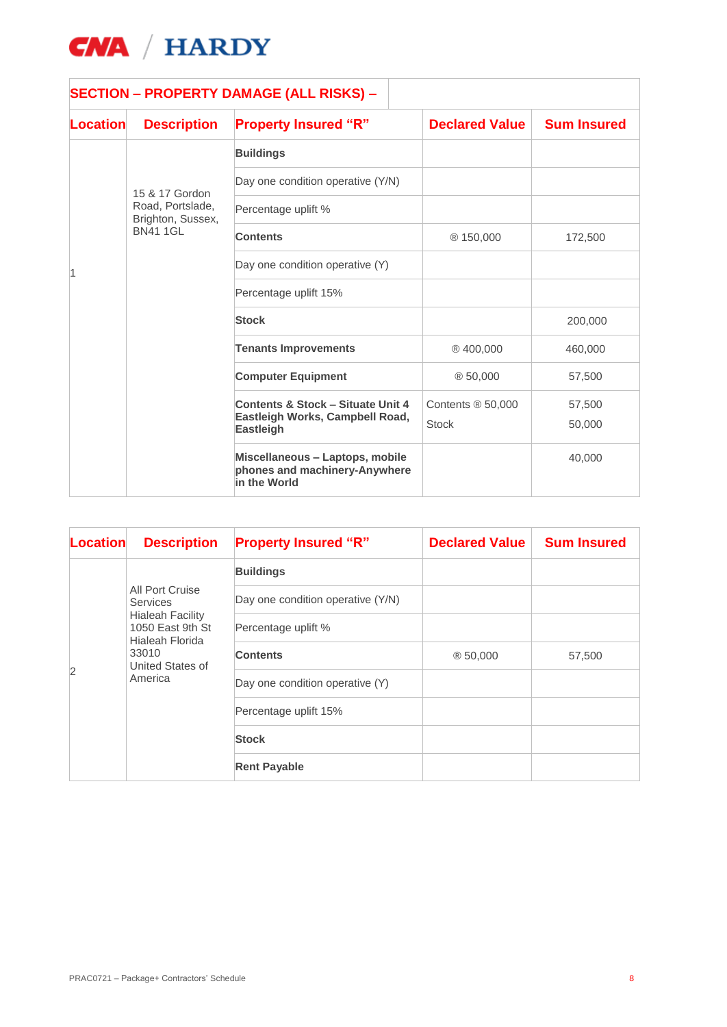

|          |                                       | <b>SECTION - PROPERTY DAMAGE (ALL RISKS) -</b>                                   |                       |                    |
|----------|---------------------------------------|----------------------------------------------------------------------------------|-----------------------|--------------------|
| Location | <b>Description</b>                    | <b>Property Insured "R"</b>                                                      | <b>Declared Value</b> | <b>Sum Insured</b> |
|          |                                       | <b>Buildings</b>                                                                 |                       |                    |
|          | 15 & 17 Gordon                        | Day one condition operative (Y/N)                                                |                       |                    |
|          | Road, Portslade,<br>Brighton, Sussex, | Percentage uplift %                                                              |                       |                    |
|          | <b>BN41 1GL</b>                       | <b>Contents</b>                                                                  | ® 150,000             | 172,500            |
|          | Day one condition operative (Y)       |                                                                                  |                       |                    |
|          | Percentage uplift 15%                 |                                                                                  |                       |                    |
|          | <b>Stock</b>                          |                                                                                  | 200,000               |                    |
|          |                                       | <b>Tenants Improvements</b>                                                      | ®400,000              | 460,000            |
|          |                                       | <b>Computer Equipment</b>                                                        | ®50,000               | 57,500             |
|          |                                       | <b>Contents &amp; Stock - Situate Unit 4</b>                                     | Contents $@$ 50,000   | 57,500             |
|          |                                       | Eastleigh Works, Campbell Road,<br><b>Eastleigh</b>                              | <b>Stock</b>          | 50,000             |
|          |                                       | Miscellaneous - Laptops, mobile<br>phones and machinery-Anywhere<br>in the World |                       | 40,000             |

| <b>Location</b> | <b>Description</b>                                                                                                                           | <b>Property Insured "R"</b>       | <b>Declared Value</b> | <b>Sum Insured</b> |
|-----------------|----------------------------------------------------------------------------------------------------------------------------------------------|-----------------------------------|-----------------------|--------------------|
|                 | All Port Cruise<br><b>Services</b><br><b>Hialeah Facility</b><br>1050 East 9th St<br>Hialeah Florida<br>33010<br>United States of<br>America | <b>Buildings</b>                  |                       |                    |
|                 |                                                                                                                                              | Day one condition operative (Y/N) |                       |                    |
| 2               |                                                                                                                                              | Percentage uplift %               |                       |                    |
|                 |                                                                                                                                              | <b>Contents</b>                   | @50,000               | 57,500             |
|                 |                                                                                                                                              | Day one condition operative (Y)   |                       |                    |
|                 |                                                                                                                                              | Percentage uplift 15%             |                       |                    |
|                 |                                                                                                                                              | <b>Stock</b>                      |                       |                    |
|                 |                                                                                                                                              | <b>Rent Payable</b>               |                       |                    |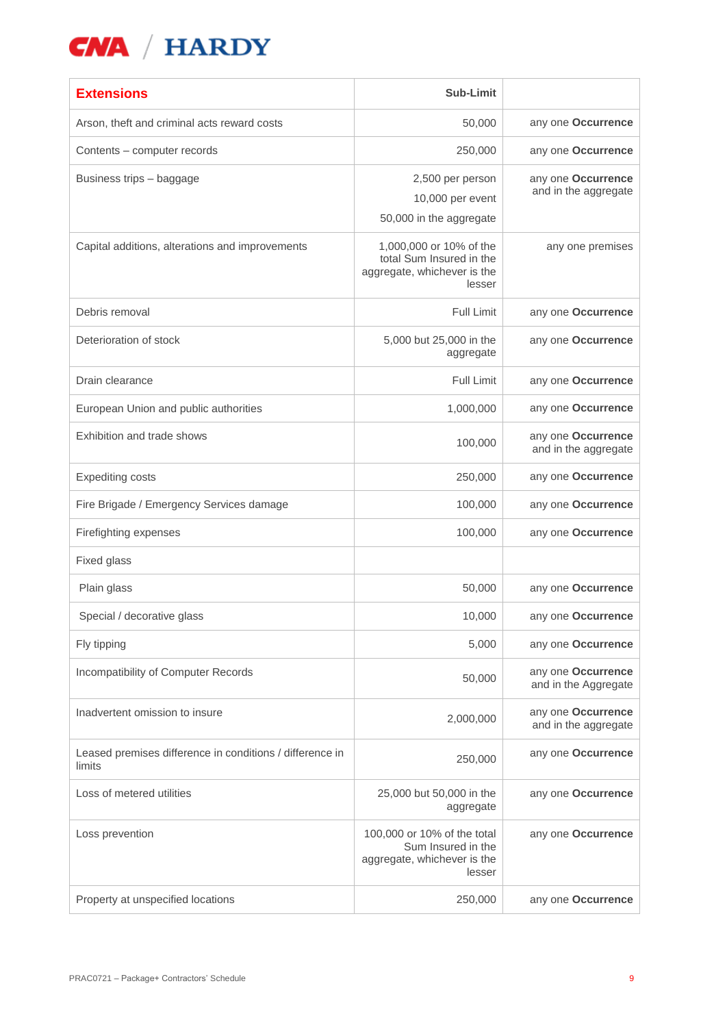| <b>Extensions</b>                                                  | Sub-Limit                                                                                    |                                            |
|--------------------------------------------------------------------|----------------------------------------------------------------------------------------------|--------------------------------------------|
| Arson, theft and criminal acts reward costs                        | 50,000                                                                                       | any one Occurrence                         |
| Contents - computer records                                        | 250,000                                                                                      | any one Occurrence                         |
| Business trips - baggage                                           | 2,500 per person<br>10,000 per event<br>50,000 in the aggregate                              | any one Occurrence<br>and in the aggregate |
| Capital additions, alterations and improvements                    | 1,000,000 or 10% of the<br>total Sum Insured in the<br>aggregate, whichever is the<br>lesser | any one premises                           |
| Debris removal                                                     | <b>Full Limit</b>                                                                            | any one Occurrence                         |
| Deterioration of stock                                             | 5,000 but 25,000 in the<br>aggregate                                                         | any one Occurrence                         |
| Drain clearance                                                    | Full Limit                                                                                   | any one Occurrence                         |
| European Union and public authorities                              | 1,000,000                                                                                    | any one Occurrence                         |
| Exhibition and trade shows                                         | 100,000                                                                                      | any one Occurrence<br>and in the aggregate |
| <b>Expediting costs</b>                                            | 250,000                                                                                      | any one Occurrence                         |
| Fire Brigade / Emergency Services damage                           | 100,000                                                                                      | any one Occurrence                         |
| Firefighting expenses                                              | 100,000                                                                                      | any one Occurrence                         |
| Fixed glass                                                        |                                                                                              |                                            |
| Plain glass                                                        | 50,000                                                                                       | any one Occurrence                         |
| Special / decorative glass                                         | 10,000                                                                                       | any one Occurrence                         |
| Fly tipping                                                        | 5,000                                                                                        | any one Occurrence                         |
| Incompatibility of Computer Records                                | 50,000                                                                                       | any one Occurrence<br>and in the Aggregate |
| Inadvertent omission to insure                                     | 2,000,000                                                                                    | any one Occurrence<br>and in the aggregate |
| Leased premises difference in conditions / difference in<br>limits | 250,000                                                                                      | any one Occurrence                         |
| Loss of metered utilities                                          | 25,000 but 50,000 in the<br>aggregate                                                        | any one Occurrence                         |
| Loss prevention                                                    | 100,000 or 10% of the total<br>Sum Insured in the<br>aggregate, whichever is the<br>lesser   | any one Occurrence                         |
| Property at unspecified locations                                  | 250,000                                                                                      | any one Occurrence                         |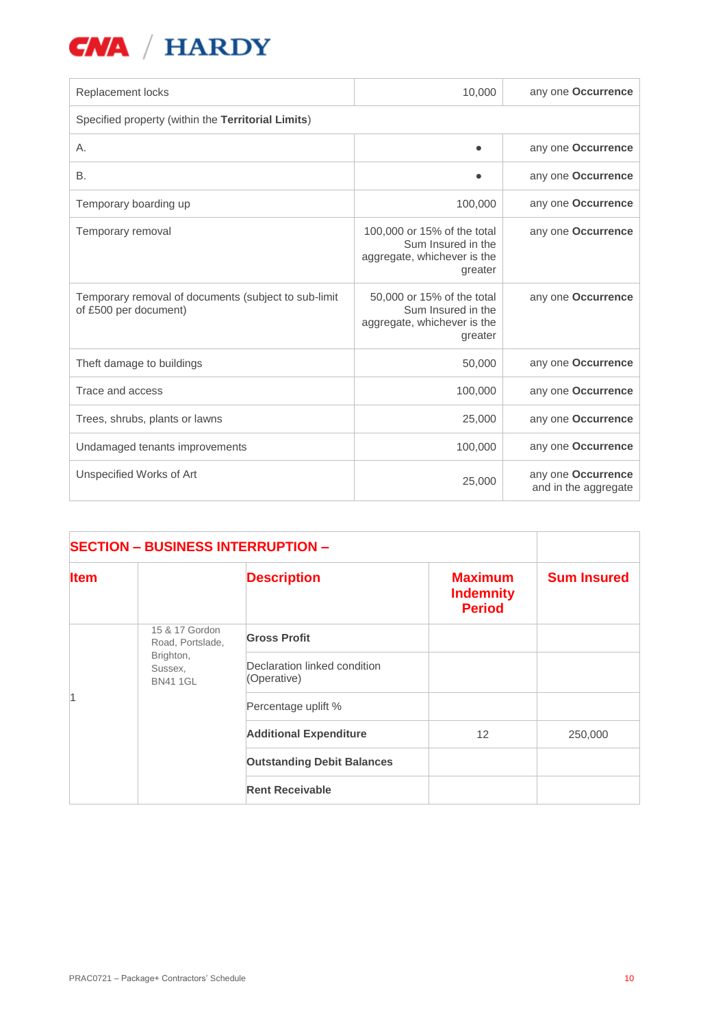| Replacement locks                                                             | 10,000                                                                                      | any one <b>Occurrence</b>                  |  |  |
|-------------------------------------------------------------------------------|---------------------------------------------------------------------------------------------|--------------------------------------------|--|--|
| Specified property (within the Territorial Limits)                            |                                                                                             |                                            |  |  |
| А.                                                                            |                                                                                             | any one Occurrence                         |  |  |
| <b>B.</b>                                                                     |                                                                                             | any one Occurrence                         |  |  |
| Temporary boarding up                                                         | 100,000                                                                                     | any one Occurrence                         |  |  |
| Temporary removal                                                             | 100,000 or 15% of the total<br>Sum Insured in the<br>aggregate, whichever is the<br>greater | any one Occurrence                         |  |  |
| Temporary removal of documents (subject to sub-limit<br>of £500 per document) | 50,000 or 15% of the total<br>Sum Insured in the<br>aggregate, whichever is the<br>greater  | any one Occurrence                         |  |  |
| Theft damage to buildings                                                     | 50,000                                                                                      | any one Occurrence                         |  |  |
| Trace and access                                                              | 100,000                                                                                     | any one Occurrence                         |  |  |
| Trees, shrubs, plants or lawns                                                | 25,000                                                                                      | any one Occurrence                         |  |  |
| Undamaged tenants improvements                                                | 100,000                                                                                     | any one Occurrence                         |  |  |
| Unspecified Works of Art                                                      | 25,000                                                                                      | any one Occurrence<br>and in the aggregate |  |  |

| <b>SECTION - BUSINESS INTERRUPTION -</b> |                                                                               |                                             |                                                     |                    |
|------------------------------------------|-------------------------------------------------------------------------------|---------------------------------------------|-----------------------------------------------------|--------------------|
| <b>Item</b>                              |                                                                               | <b>Description</b>                          | <b>Maximum</b><br><b>Indemnity</b><br><b>Period</b> | <b>Sum Insured</b> |
| l1                                       | 15 & 17 Gordon<br>Road, Portslade,<br>Brighton,<br>Sussex,<br><b>BN41 1GL</b> | <b>Gross Profit</b>                         |                                                     |                    |
|                                          |                                                                               | Declaration linked condition<br>(Operative) |                                                     |                    |
|                                          |                                                                               | Percentage uplift %                         |                                                     |                    |
|                                          |                                                                               | <b>Additional Expenditure</b>               | 12                                                  | 250,000            |
|                                          |                                                                               | <b>Outstanding Debit Balances</b>           |                                                     |                    |
|                                          |                                                                               | <b>Rent Receivable</b>                      |                                                     |                    |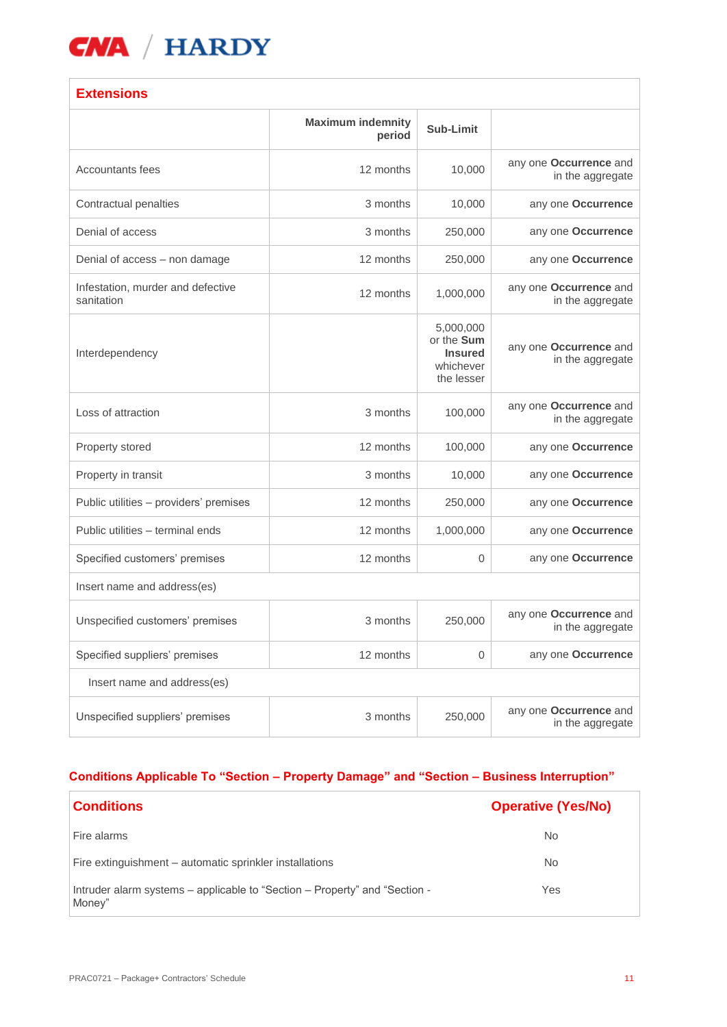

## **Extensions**

|                                                 | <b>Maximum indemnity</b><br>period | Sub-Limit                                                            |                                                   |
|-------------------------------------------------|------------------------------------|----------------------------------------------------------------------|---------------------------------------------------|
| Accountants fees                                | 12 months                          | 10,000                                                               | any one Occurrence and<br>in the aggregate        |
| Contractual penalties                           | 3 months                           | 10,000                                                               | any one Occurrence                                |
| Denial of access                                | 3 months                           | 250,000                                                              | any one Occurrence                                |
| Denial of access - non damage                   | 12 months                          | 250,000                                                              | any one Occurrence                                |
| Infestation, murder and defective<br>sanitation | 12 months                          | 1,000,000                                                            | any one Occurrence and<br>in the aggregate        |
| Interdependency                                 |                                    | 5,000,000<br>or the Sum<br><b>Insured</b><br>whichever<br>the lesser | any one Occurrence and<br>in the aggregate        |
| Loss of attraction                              | 3 months                           | 100,000                                                              | any one Occurrence and<br>in the aggregate        |
| Property stored                                 | 12 months                          | 100,000                                                              | any one Occurrence                                |
| Property in transit                             | 3 months                           | 10,000                                                               | any one Occurrence                                |
| Public utilities - providers' premises          | 12 months                          | 250,000                                                              | any one Occurrence                                |
| Public utilities - terminal ends                | 12 months                          | 1,000,000                                                            | any one Occurrence                                |
| Specified customers' premises                   | 12 months                          | $\mathbf 0$                                                          | any one Occurrence                                |
| Insert name and address(es)                     |                                    |                                                                      |                                                   |
| Unspecified customers' premises                 | 3 months                           | 250,000                                                              | any one Occurrence and<br>in the aggregate        |
| Specified suppliers' premises                   | 12 months                          | $\overline{0}$                                                       | any one Occurrence                                |
| Insert name and address(es)                     |                                    |                                                                      |                                                   |
| Unspecified suppliers' premises                 | 3 months                           | 250,000                                                              | any one <b>Occurrence</b> and<br>in the aggregate |

## **Conditions Applicable To "Section – Property Damage" and "Section – Business Interruption"**

| <b>Conditions</b>                                                                    | <b>Operative (Yes/No)</b> |
|--------------------------------------------------------------------------------------|---------------------------|
| Fire alarms                                                                          | No                        |
| Fire extinguishment – automatic sprinkler installations                              | N <sub>o</sub>            |
| Intruder alarm systems - applicable to "Section - Property" and "Section -<br>Money" | Yes                       |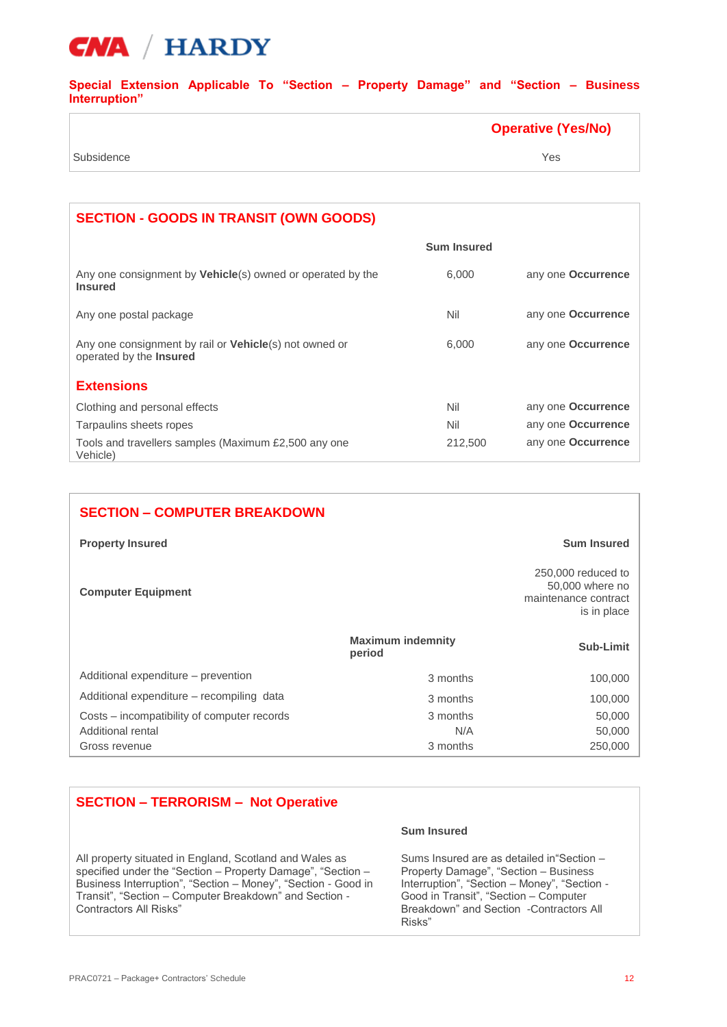

**Special Extension Applicable To "Section – Property Damage" and "Section – Business Interruption"**

|            | <b>Operative (Yes/No)</b> |
|------------|---------------------------|
| Subsidence | Yes                       |

| <b>SECTION - GOODS IN TRANSIT (OWN GOODS)</b>                                             |                    |                           |
|-------------------------------------------------------------------------------------------|--------------------|---------------------------|
|                                                                                           | <b>Sum Insured</b> |                           |
| Any one consignment by <b>Vehicle</b> (s) owned or operated by the<br><b>Insured</b>      | 6.000              | any one <b>Occurrence</b> |
| Any one postal package                                                                    | Nil                | any one <b>Occurrence</b> |
| Any one consignment by rail or <b>Vehicle</b> (s) not owned or<br>operated by the Insured | 6,000              | any one Occurrence        |
| <b>Extensions</b>                                                                         |                    |                           |
| Clothing and personal effects                                                             | Nil                | any one <b>Occurrence</b> |
| Tarpaulins sheets ropes                                                                   | Nil                | any one Occurrence        |
| Tools and travellers samples (Maximum £2,500 any one<br>Vehicle)                          | 212,500            | any one <b>Occurrence</b> |

| <b>SECTION - COMPUTER BREAKDOWN</b>         |                                    |                                                                              |
|---------------------------------------------|------------------------------------|------------------------------------------------------------------------------|
| <b>Property Insured</b>                     |                                    | <b>Sum Insured</b>                                                           |
| <b>Computer Equipment</b>                   |                                    | 250,000 reduced to<br>50,000 where no<br>maintenance contract<br>is in place |
|                                             | <b>Maximum indemnity</b><br>period | Sub-Limit                                                                    |
| Additional expenditure – prevention         | 3 months                           | 100,000                                                                      |
| Additional expenditure – recompiling data   | 3 months                           | 100,000                                                                      |
| Costs – incompatibility of computer records | 3 months                           | 50,000                                                                       |
| Additional rental                           | N/A                                | 50,000                                                                       |
| Gross revenue                               | 3 months                           | 250,000                                                                      |

## **SECTION – TERRORISM – Not Operative**

All property situated in England, Scotland and Wales as specified under the "Section – Property Damage", "Section – Business Interruption", "Section – Money", "Section - Good in Transit", "Section – Computer Breakdown" and Section - Contractors All Risks"

#### **Sum Insured**

Sums Insured are as detailed in"Section – Property Damage", "Section – Business Interruption", "Section – Money", "Section - Good in Transit", "Section – Computer Breakdown" and Section -Contractors All Risks"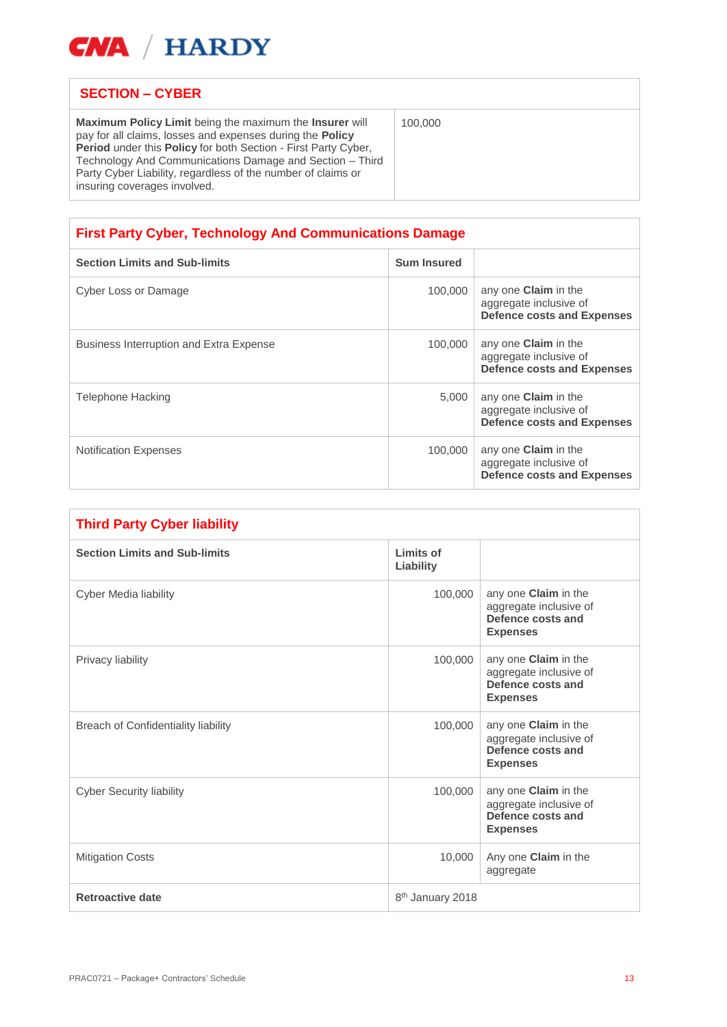

## **SECTION – CYBER**

**Maximum Policy Limit** being the maximum the **Insurer** will pay for all claims, losses and expenses during the **Policy Period** under this **Policy** for both Section - First Party Cyber, Technology And Communications Damage and Section – Third Party Cyber Liability, regardless of the number of claims or insuring coverages involved.

100,000

| <b>First Party Cyber, Technology And Communications Damage</b> |                    |                                                                                            |
|----------------------------------------------------------------|--------------------|--------------------------------------------------------------------------------------------|
| <b>Section Limits and Sub-limits</b>                           | <b>Sum Insured</b> |                                                                                            |
| Cyber Loss or Damage                                           | 100,000            | any one <b>Claim</b> in the<br>aggregate inclusive of<br><b>Defence costs and Expenses</b> |
| <b>Business Interruption and Extra Expense</b>                 | 100,000            | any one <b>Claim</b> in the<br>aggregate inclusive of<br><b>Defence costs and Expenses</b> |
| Telephone Hacking                                              | 5,000              | any one <b>Claim</b> in the<br>aggregate inclusive of<br><b>Defence costs and Expenses</b> |
| <b>Notification Expenses</b>                                   | 100,000            | any one <b>Claim</b> in the<br>aggregate inclusive of<br><b>Defence costs and Expenses</b> |

| <b>Third Party Cyber liability</b>   |                              |                                                                                        |
|--------------------------------------|------------------------------|----------------------------------------------------------------------------------------|
| <b>Section Limits and Sub-limits</b> | Limits of<br>Liability       |                                                                                        |
| Cyber Media liability                | 100,000                      | any one Claim in the<br>aggregate inclusive of<br>Defence costs and<br><b>Expenses</b> |
| Privacy liability                    | 100,000                      | any one Claim in the<br>aggregate inclusive of<br>Defence costs and<br><b>Expenses</b> |
| Breach of Confidentiality liability  | 100,000                      | any one Claim in the<br>aggregate inclusive of<br>Defence costs and<br><b>Expenses</b> |
| <b>Cyber Security liability</b>      | 100,000                      | any one Claim in the<br>aggregate inclusive of<br>Defence costs and<br><b>Expenses</b> |
| <b>Mitigation Costs</b>              | 10,000                       | Any one <b>Claim</b> in the<br>aggregate                                               |
| <b>Retroactive date</b>              | 8 <sup>th</sup> January 2018 |                                                                                        |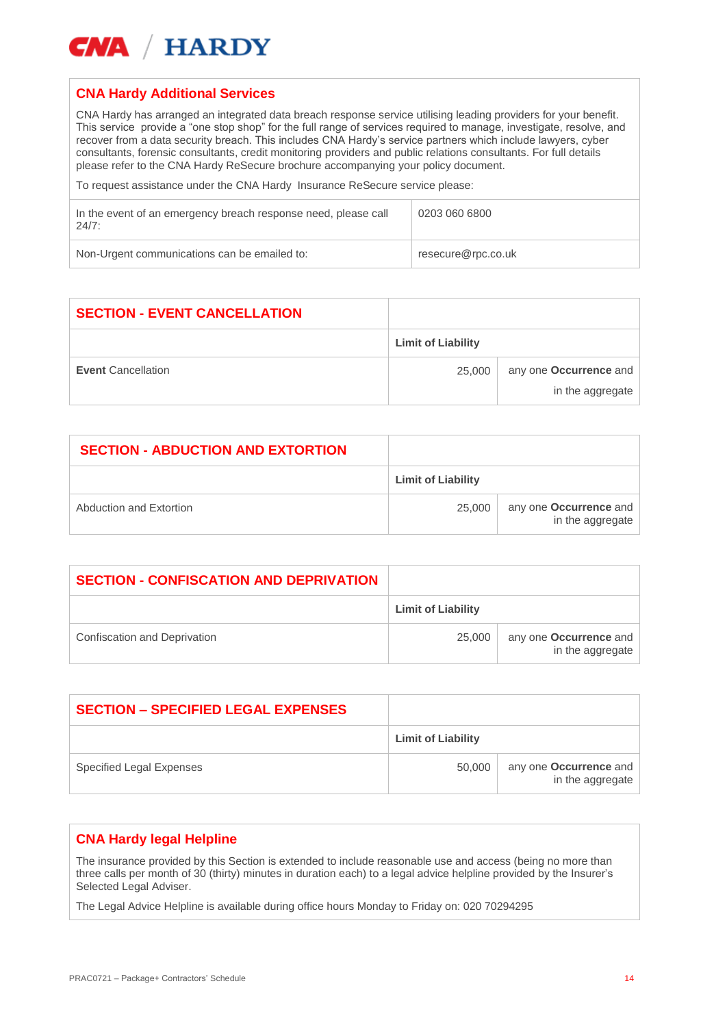

## **CNA Hardy Additional Services**

CNA Hardy has arranged an integrated data breach response service utilising leading providers for your benefit. This service provide a "one stop shop" for the full range of services required to manage, investigate, resolve, and recover from a data security breach. This includes CNA Hardy's service partners which include lawyers, cyber consultants, forensic consultants, credit monitoring providers and public relations consultants. For full details please refer to the CNA Hardy ReSecure brochure accompanying your policy document.

To request assistance under the CNA Hardy Insurance ReSecure service please:

| In the event of an emergency breach response need, please call<br>24/7: | 0203 060 6800      |
|-------------------------------------------------------------------------|--------------------|
| Non-Urgent communications can be emailed to:                            | resecure@rpc.co.uk |

| <b>SECTION - EVENT CANCELLATION</b> |                           |                        |
|-------------------------------------|---------------------------|------------------------|
|                                     | <b>Limit of Liability</b> |                        |
| <b>Event Cancellation</b>           | 25,000                    | any one Occurrence and |
|                                     |                           | in the aggregate       |

| <b>SECTION - ABDUCTION AND EXTORTION</b> |                           |                                                   |
|------------------------------------------|---------------------------|---------------------------------------------------|
|                                          | <b>Limit of Liability</b> |                                                   |
| Abduction and Extortion                  | 25.000                    | any one <b>Occurrence</b> and<br>in the aggregate |

| <b>SECTION - CONFISCATION AND DEPRIVATION</b> |                           |                                            |
|-----------------------------------------------|---------------------------|--------------------------------------------|
|                                               | <b>Limit of Liability</b> |                                            |
| Confiscation and Deprivation                  | 25,000                    | any one Occurrence and<br>in the aggregate |

| <b>SECTION - SPECIFIED LEGAL EXPENSES</b> |                           |                                            |
|-------------------------------------------|---------------------------|--------------------------------------------|
|                                           | <b>Limit of Liability</b> |                                            |
| Specified Legal Expenses                  | 50.000                    | any one Occurrence and<br>in the aggregate |

## **CNA Hardy legal Helpline**

The insurance provided by this Section is extended to include reasonable use and access (being no more than three calls per month of 30 (thirty) minutes in duration each) to a legal advice helpline provided by the Insurer's Selected Legal Adviser.

The Legal Advice Helpline is available during office hours Monday to Friday on: 020 70294295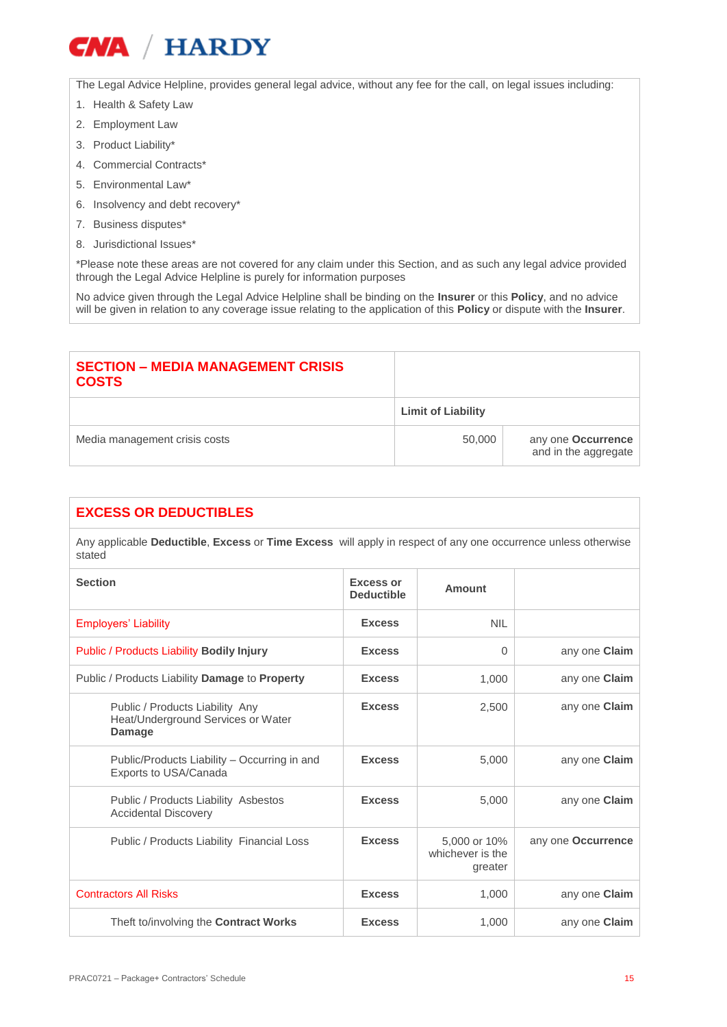The Legal Advice Helpline, provides general legal advice, without any fee for the call, on legal issues including:

- 1. Health & Safety Law
- 2. Employment Law
- 3. Product Liability\*
- 4. Commercial Contracts\*
- 5. Environmental Law\*
- 6. Insolvency and debt recovery\*
- 7. Business disputes\*
- 8. Jurisdictional Issues\*

\*Please note these areas are not covered for any claim under this Section, and as such any legal advice provided through the Legal Advice Helpline is purely for information purposes

No advice given through the Legal Advice Helpline shall be binding on the **Insurer** or this **Policy**, and no advice will be given in relation to any coverage issue relating to the application of this **Policy** or dispute with the **Insurer**.

| <b>SECTION – MEDIA MANAGEMENT CRISIS</b><br><b>COSTS</b> |                           |                                            |
|----------------------------------------------------------|---------------------------|--------------------------------------------|
|                                                          | <b>Limit of Liability</b> |                                            |
| Media management crisis costs                            | 50,000                    | any one Occurrence<br>and in the aggregate |

## **EXCESS OR DEDUCTIBLES**

Any applicable **Deductible**, **Excess** or **Time Excess** will apply in respect of any one occurrence unless otherwise stated

| <b>Section</b>                                                                  | <b>Excess or</b><br><b>Deductible</b> | <b>Amount</b>                               |                      |
|---------------------------------------------------------------------------------|---------------------------------------|---------------------------------------------|----------------------|
| <b>Employers' Liability</b>                                                     | <b>Excess</b>                         | <b>NIL</b>                                  |                      |
| <b>Public / Products Liability Bodily Injury</b>                                | <b>Excess</b>                         | $\Omega$                                    | any one Claim        |
| Public / Products Liability Damage to Property                                  | <b>Excess</b>                         | 1,000                                       | any one Claim        |
| Public / Products Liability Any<br>Heat/Underground Services or Water<br>Damage | <b>Excess</b>                         | 2,500                                       | any one Claim        |
| Public/Products Liability - Occurring in and<br>Exports to USA/Canada           | <b>Excess</b>                         | 5,000                                       | any one <b>Claim</b> |
| Public / Products Liability Asbestos<br><b>Accidental Discovery</b>             | <b>Excess</b>                         | 5,000                                       | any one Claim        |
| Public / Products Liability Financial Loss                                      | <b>Excess</b>                         | 5,000 or 10%<br>whichever is the<br>greater | any one Occurrence   |
| <b>Contractors All Risks</b>                                                    | <b>Excess</b>                         | 1,000                                       | any one <b>Claim</b> |
| Theft to/involving the Contract Works                                           | <b>Excess</b>                         | 1.000                                       | any one Claim        |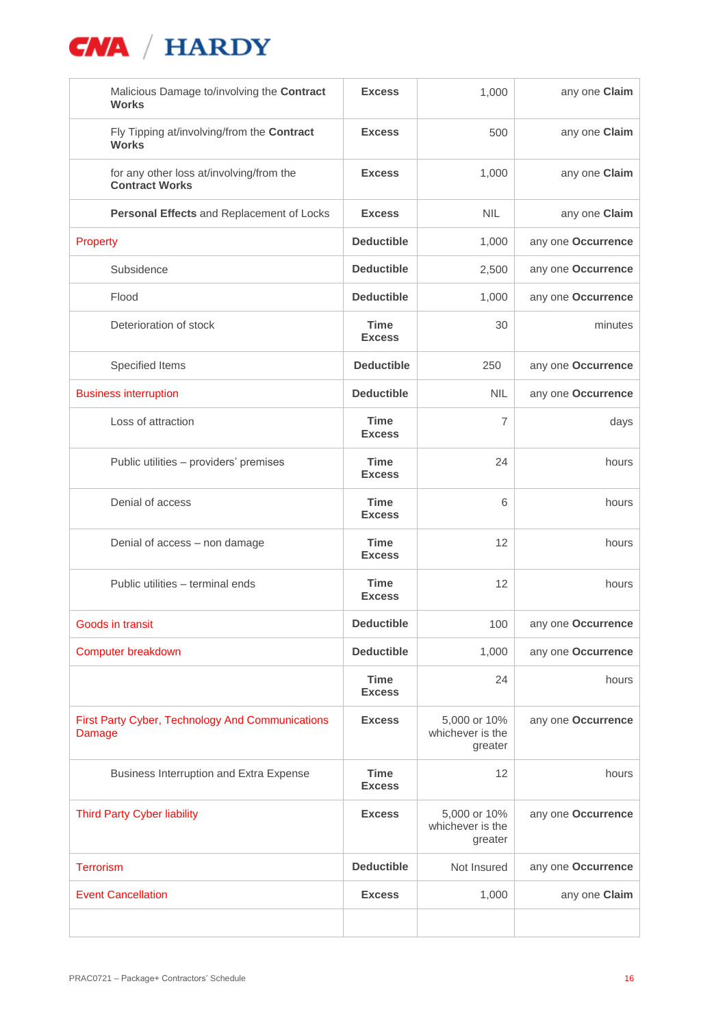| Malicious Damage to/involving the Contract<br><b>Works</b>        | <b>Excess</b>                | 1,000                                       | any one Claim      |
|-------------------------------------------------------------------|------------------------------|---------------------------------------------|--------------------|
| Fly Tipping at/involving/from the Contract<br><b>Works</b>        | <b>Excess</b>                | 500                                         | any one Claim      |
| for any other loss at/involving/from the<br><b>Contract Works</b> | <b>Excess</b>                | 1,000                                       | any one Claim      |
| Personal Effects and Replacement of Locks                         | <b>Excess</b>                | <b>NIL</b>                                  | any one Claim      |
| Property                                                          | <b>Deductible</b>            | 1,000                                       | any one Occurrence |
| Subsidence                                                        | <b>Deductible</b>            | 2,500                                       | any one Occurrence |
| Flood                                                             | <b>Deductible</b>            | 1,000                                       | any one Occurrence |
| Deterioration of stock                                            | <b>Time</b><br><b>Excess</b> | 30                                          | minutes            |
| Specified Items                                                   | <b>Deductible</b>            | 250                                         | any one Occurrence |
| <b>Business interruption</b>                                      | <b>Deductible</b>            | <b>NIL</b>                                  | any one Occurrence |
| Loss of attraction                                                | Time<br><b>Excess</b>        | 7                                           | days               |
| Public utilities - providers' premises                            | <b>Time</b><br><b>Excess</b> | 24                                          | hours              |
| Denial of access                                                  | <b>Time</b><br><b>Excess</b> | 6                                           | hours              |
| Denial of access - non damage                                     | <b>Time</b><br><b>Excess</b> | 12                                          | hours              |
| Public utilities - terminal ends                                  | <b>Time</b><br><b>Excess</b> | 12                                          | hours              |
| Goods in transit                                                  | <b>Deductible</b>            | 100                                         | any one Occurrence |
| Computer breakdown                                                | <b>Deductible</b>            | 1,000                                       | any one Occurrence |
|                                                                   | Time<br><b>Excess</b>        | 24                                          | hours              |
| <b>First Party Cyber, Technology And Communications</b><br>Damage | <b>Excess</b>                | 5,000 or 10%<br>whichever is the<br>greater | any one Occurrence |
| Business Interruption and Extra Expense                           | <b>Time</b><br><b>Excess</b> | 12                                          | hours              |
| <b>Third Party Cyber liability</b>                                | <b>Excess</b>                | 5,000 or 10%<br>whichever is the<br>greater | any one Occurrence |
| <b>Terrorism</b>                                                  | <b>Deductible</b>            | Not Insured                                 | any one Occurrence |
| <b>Event Cancellation</b>                                         | <b>Excess</b>                | 1,000                                       | any one Claim      |
|                                                                   |                              |                                             |                    |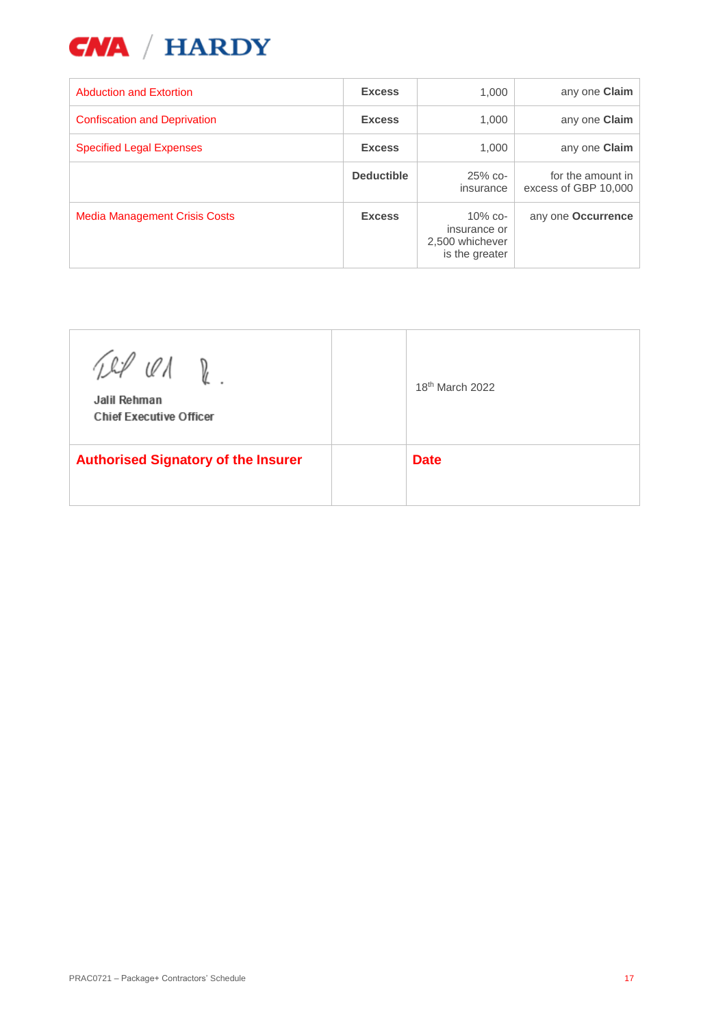

| <b>Abduction and Extortion</b>       | <b>Excess</b>     | 1.000                                                           | any one Claim                             |
|--------------------------------------|-------------------|-----------------------------------------------------------------|-------------------------------------------|
| <b>Confiscation and Deprivation</b>  | <b>Excess</b>     | 1,000                                                           | any one Claim                             |
| <b>Specified Legal Expenses</b>      | <b>Excess</b>     | 1.000                                                           | any one Claim                             |
|                                      | <b>Deductible</b> | $25%$ co-<br>insurance                                          | for the amount in<br>excess of GBP 10,000 |
| <b>Media Management Crisis Costs</b> | <b>Excess</b>     | $10\%$ co-<br>insurance or<br>2,500 whichever<br>is the greater | any one Occurrence                        |

| Til ON D<br>Jalil Rehman<br><b>Chief Executive Officer</b> | 18 <sup>th</sup> March 2022 |
|------------------------------------------------------------|-----------------------------|
| <b>Authorised Signatory of the Insurer</b>                 | <b>Date</b>                 |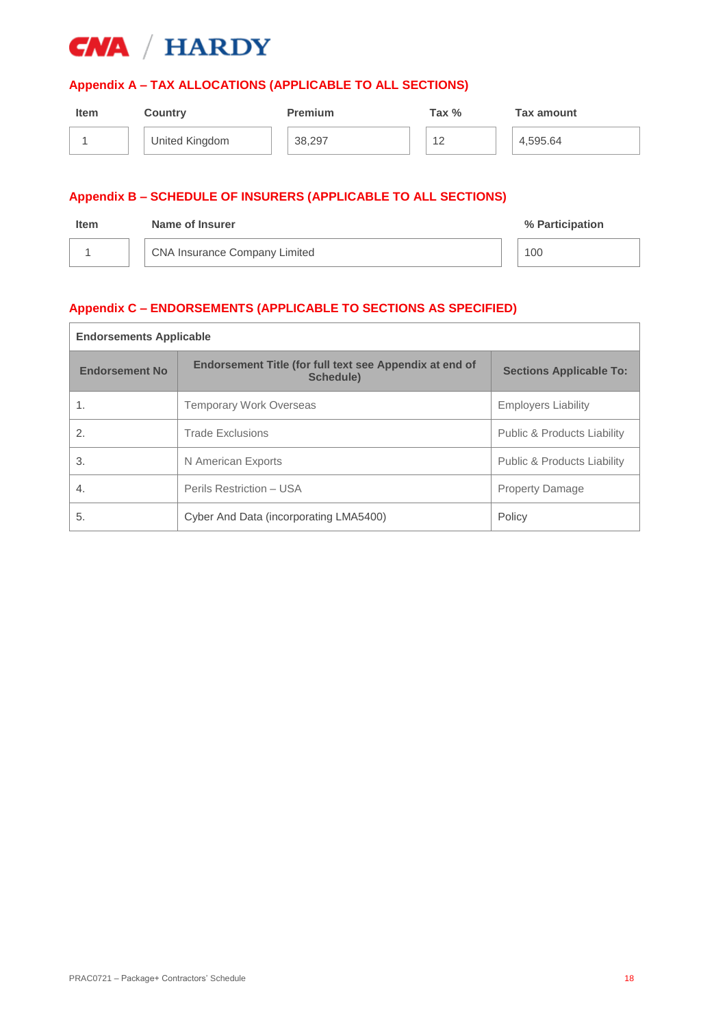

## **Appendix A – TAX ALLOCATIONS (APPLICABLE TO ALL SECTIONS)**

| <b>Item</b> | <b>Country</b> | <b>Premium</b> | Tax % | Tax amount |
|-------------|----------------|----------------|-------|------------|
|             | United Kingdom | 38,297         | 12    | 4,595.64   |
|             |                |                |       |            |

## **Appendix B – SCHEDULE OF INSURERS (APPLICABLE TO ALL SECTIONS)**

| <b>Item</b> | Name of Insurer                      | % Participation |
|-------------|--------------------------------------|-----------------|
|             | <b>CNA Insurance Company Limited</b> | 100             |

## **Appendix C – ENDORSEMENTS (APPLICABLE TO SECTIONS AS SPECIFIED)**

| <b>Endorsements Applicable</b> |                                                                             |                                        |
|--------------------------------|-----------------------------------------------------------------------------|----------------------------------------|
| <b>Endorsement No</b>          | Endorsement Title (for full text see Appendix at end of<br><b>Schedule)</b> | <b>Sections Applicable To:</b>         |
|                                | <b>Temporary Work Overseas</b>                                              | <b>Employers Liability</b>             |
| 2.                             | <b>Trade Exclusions</b>                                                     | <b>Public &amp; Products Liability</b> |
| 3.                             | N American Exports                                                          | <b>Public &amp; Products Liability</b> |
| 4.                             | Perils Restriction - USA                                                    | <b>Property Damage</b>                 |
| 5.                             | Cyber And Data (incorporating LMA5400)                                      | Policy                                 |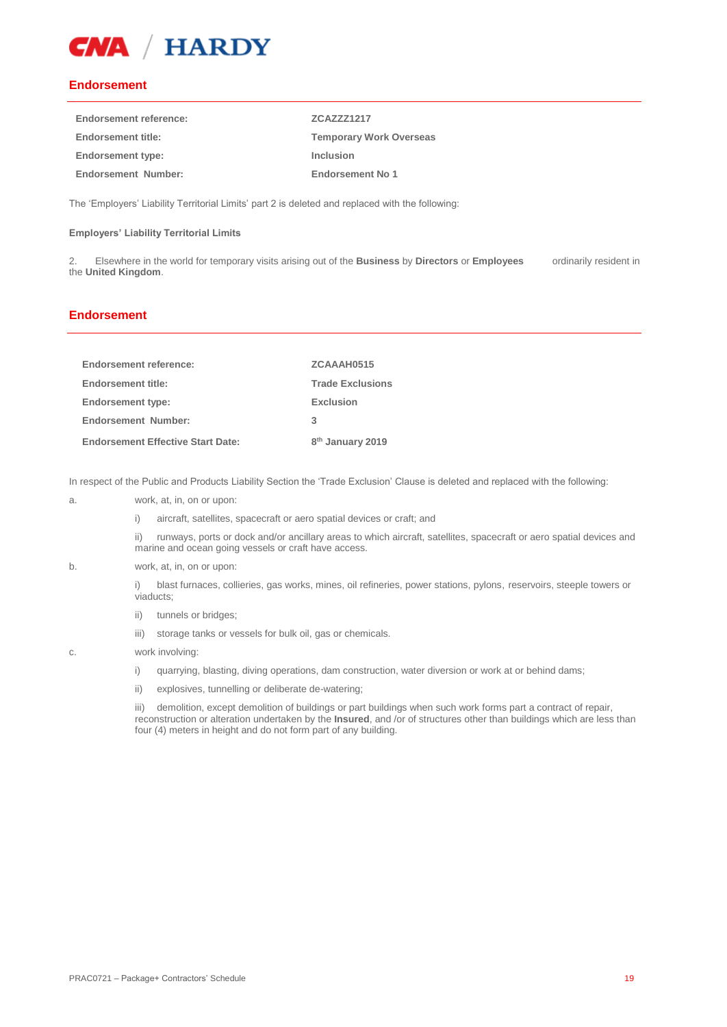

### **Endorsement**

| <b>Endorsement reference:</b> | <b>ZCAZZZ1217</b>              |
|-------------------------------|--------------------------------|
| <b>Endorsement title:</b>     | <b>Temporary Work Overseas</b> |
| <b>Endorsement type:</b>      | Inclusion                      |
| <b>Endorsement Number:</b>    | Endorsement No 1               |

The 'Employers' Liability Territorial Limits' part 2 is deleted and replaced with the following:

### **Employers' Liability Territorial Limits**

2. Elsewhere in the world for temporary visits arising out of the **Business** by **Directors** or **Employees** ordinarily resident in the **United Kingdom**.

## **Endorsement**

| <b>Endorsement reference:</b>            | ZCAAAH0515                   |
|------------------------------------------|------------------------------|
| Endorsement title:                       | <b>Trade Exclusions</b>      |
| <b>Endorsement type:</b>                 | Exclusion                    |
| <b>Endorsement Number:</b>               | 3                            |
| <b>Endorsement Effective Start Date:</b> | 8 <sup>th</sup> January 2019 |

In respect of the Public and Products Liability Section the 'Trade Exclusion' Clause is deleted and replaced with the following:

- a. work, at, in, on or upon:
	- i) aircraft, satellites, spacecraft or aero spatial devices or craft; and

ii) runways, ports or dock and/or ancillary areas to which aircraft, satellites, spacecraft or aero spatial devices and marine and ocean going vessels or craft have access.

#### b. work, at, in, on or upon:

i) blast furnaces, collieries, gas works, mines, oil refineries, power stations, pylons, reservoirs, steeple towers or viaducts;

- ii) tunnels or bridges;
- iii) storage tanks or vessels for bulk oil, gas or chemicals.

#### c. work involving:

- i) quarrying, blasting, diving operations, dam construction, water diversion or work at or behind dams;
- ii) explosives, tunnelling or deliberate de-watering;

iii) demolition, except demolition of buildings or part buildings when such work forms part a contract of repair, reconstruction or alteration undertaken by the **Insured**, and /or of structures other than buildings which are less than four (4) meters in height and do not form part of any building.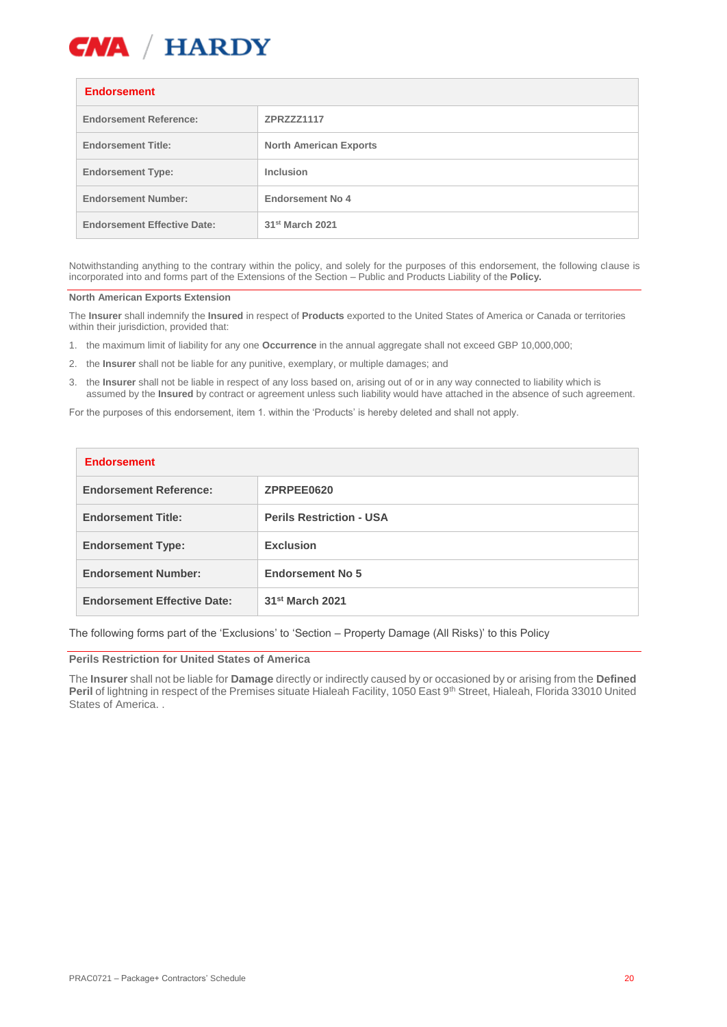

### **Endorsement**

| ышлэгшсы                           |                               |  |
|------------------------------------|-------------------------------|--|
| <b>Endorsement Reference:</b>      | ZPRZZZ1117                    |  |
| <b>Endorsement Title:</b>          | <b>North American Exports</b> |  |
| <b>Endorsement Type:</b>           | <b>Inclusion</b>              |  |
| <b>Endorsement Number:</b>         | <b>Endorsement No 4</b>       |  |
| <b>Endorsement Effective Date:</b> | 31 <sup>st</sup> March 2021   |  |

Notwithstanding anything to the contrary within the policy, and solely for the purposes of this endorsement, the following clause is incorporated into and forms part of the Extensions of the Section – Public and Products Liability of the **Policy.**

#### **North American Exports Extension**

The **Insurer** shall indemnify the **Insured** in respect of **Products** exported to the United States of America or Canada or territories within their jurisdiction, provided that:

- 1. the maximum limit of liability for any one **Occurrence** in the annual aggregate shall not exceed GBP 10,000,000;
- 2. the **Insurer** shall not be liable for any punitive, exemplary, or multiple damages; and
- 3. the **Insurer** shall not be liable in respect of any loss based on, arising out of or in any way connected to liability which is assumed by the **Insured** by contract or agreement unless such liability would have attached in the absence of such agreement.

For the purposes of this endorsement, item 1. within the 'Products' is hereby deleted and shall not apply.

| <b>Endorsement</b>                 |                                 |  |
|------------------------------------|---------------------------------|--|
| <b>Endorsement Reference:</b>      | ZPRPEE0620                      |  |
| <b>Endorsement Title:</b>          | <b>Perils Restriction - USA</b> |  |
| <b>Endorsement Type:</b>           | <b>Exclusion</b>                |  |
| <b>Endorsement Number:</b>         | <b>Endorsement No 5</b>         |  |
| <b>Endorsement Effective Date:</b> | 31 <sup>st</sup> March 2021     |  |

The following forms part of the 'Exclusions' to 'Section – Property Damage (All Risks)' to this Policy

#### **Perils Restriction for United States of America**

The **Insurer** shall not be liable for **Damage** directly or indirectly caused by or occasioned by or arising from the **Defined** Peril of lightning in respect of the Premises situate Hialeah Facility, 1050 East 9<sup>th</sup> Street, Hialeah, Florida 33010 United States of America.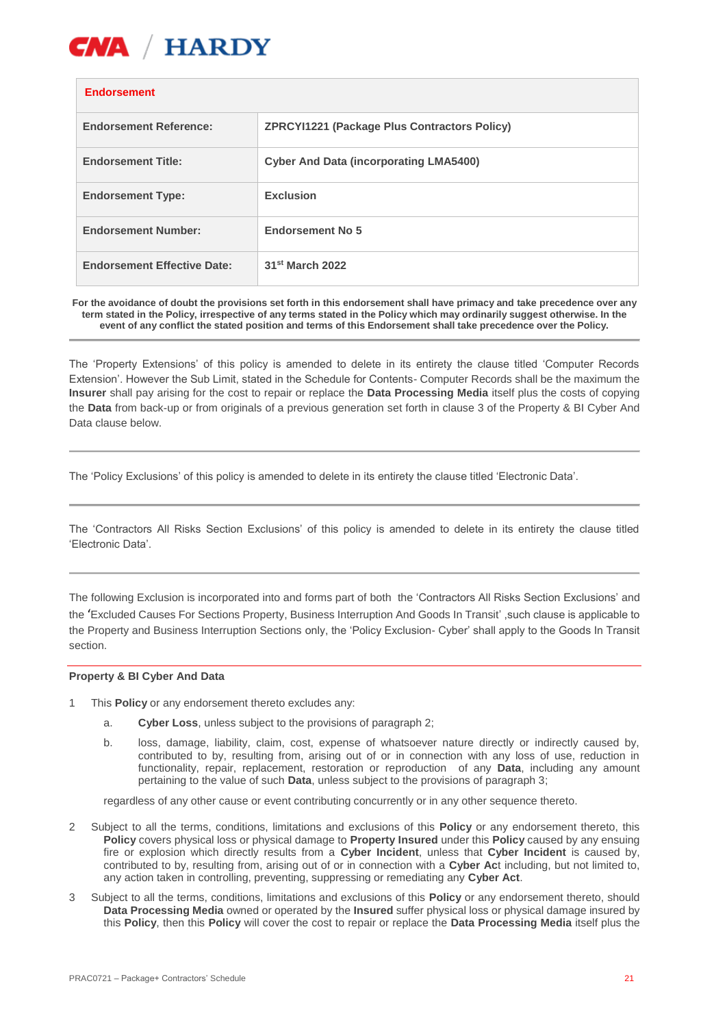

### **Endorsement**

| <b>Endorsement Reference:</b>      | <b>ZPRCYI1221 (Package Plus Contractors Policy)</b> |
|------------------------------------|-----------------------------------------------------|
| <b>Endorsement Title:</b>          | <b>Cyber And Data (incorporating LMA5400)</b>       |
| <b>Endorsement Type:</b>           | <b>Exclusion</b>                                    |
| <b>Endorsement Number:</b>         | <b>Endorsement No 5</b>                             |
| <b>Endorsement Effective Date:</b> | 31 <sup>st</sup> March 2022                         |

**For the avoidance of doubt the provisions set forth in this endorsement shall have primacy and take precedence over any term stated in the Policy, irrespective of any terms stated in the Policy which may ordinarily suggest otherwise. In the event of any conflict the stated position and terms of this Endorsement shall take precedence over the Policy.**

The 'Property Extensions' of this policy is amended to delete in its entirety the clause titled 'Computer Records Extension'. However the Sub Limit, stated in the Schedule for Contents- Computer Records shall be the maximum the **Insurer** shall pay arising for the cost to repair or replace the **Data Processing Media** itself plus the costs of copying the **Data** from back-up or from originals of a previous generation set forth in clause 3 of the Property & BI Cyber And Data clause below.

The 'Policy Exclusions' of this policy is amended to delete in its entirety the clause titled 'Electronic Data'.

The 'Contractors All Risks Section Exclusions' of this policy is amended to delete in its entirety the clause titled 'Electronic Data'.

The following Exclusion is incorporated into and forms part of both the 'Contractors All Risks Section Exclusions' and the 'Excluded Causes For Sections Property, Business Interruption And Goods In Transit' ,such clause is applicable to the Property and Business Interruption Sections only, the 'Policy Exclusion- Cyber' shall apply to the Goods In Transit section.

### **Property & BI Cyber And Data**

- 1 This **Policy** or any endorsement thereto excludes any:
	- a. **Cyber Loss**, unless subject to the provisions of paragraph 2;
	- b. loss, damage, liability, claim, cost, expense of whatsoever nature directly or indirectly caused by, contributed to by, resulting from, arising out of or in connection with any loss of use, reduction in functionality, repair, replacement, restoration or reproduction of any **Data**, including any amount pertaining to the value of such **Data**, unless subject to the provisions of paragraph 3;

regardless of any other cause or event contributing concurrently or in any other sequence thereto.

- 2 Subject to all the terms, conditions, limitations and exclusions of this **Policy** or any endorsement thereto, this **Policy** covers physical loss or physical damage to **Property Insured** under this **Policy** caused by any ensuing fire or explosion which directly results from a **Cyber Incident**, unless that **Cyber Incident** is caused by, contributed to by, resulting from, arising out of or in connection with a **Cyber Ac**t including, but not limited to, any action taken in controlling, preventing, suppressing or remediating any **Cyber Act**.
- 3 Subject to all the terms, conditions, limitations and exclusions of this **Policy** or any endorsement thereto, should **Data Processing Media** owned or operated by the **Insured** suffer physical loss or physical damage insured by this **Policy**, then this **Policy** will cover the cost to repair or replace the **Data Processing Media** itself plus the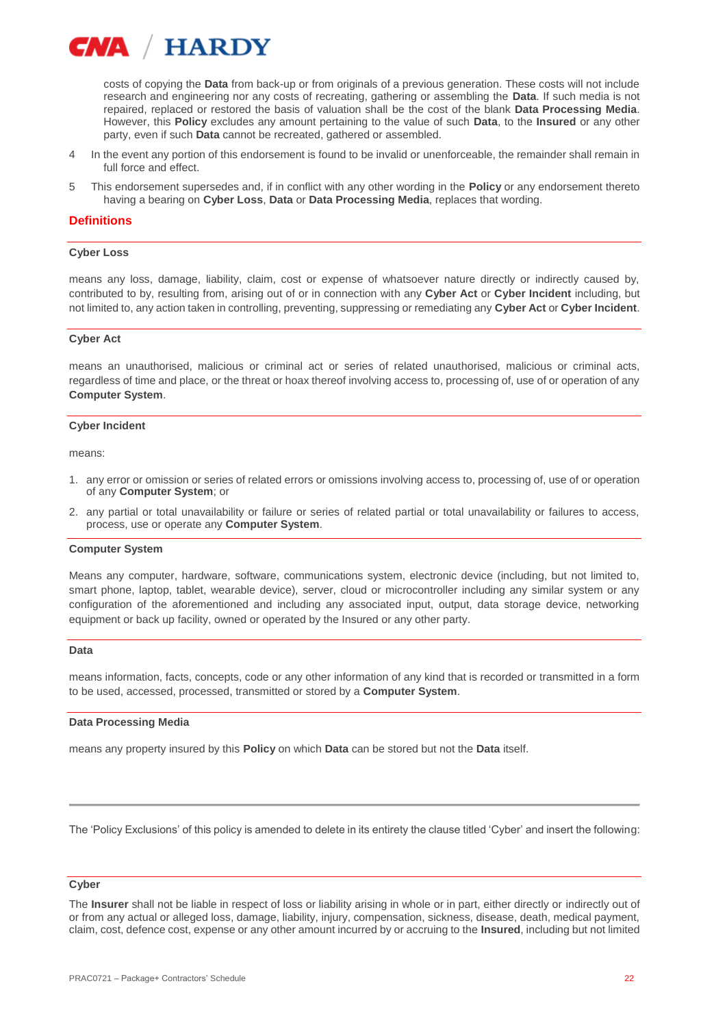

costs of copying the **Data** from back-up or from originals of a previous generation. These costs will not include research and engineering nor any costs of recreating, gathering or assembling the **Data**. If such media is not repaired, replaced or restored the basis of valuation shall be the cost of the blank **Data Processing Media**. However, this **Policy** excludes any amount pertaining to the value of such **Data**, to the **Insured** or any other party, even if such **Data** cannot be recreated, gathered or assembled.

- 4 In the event any portion of this endorsement is found to be invalid or unenforceable, the remainder shall remain in full force and effect.
- 5 This endorsement supersedes and, if in conflict with any other wording in the **Policy** or any endorsement thereto having a bearing on **Cyber Loss**, **Data** or **Data Processing Media**, replaces that wording.

### **Definitions**

#### **Cyber Loss**

means any loss, damage, liability, claim, cost or expense of whatsoever nature directly or indirectly caused by, contributed to by, resulting from, arising out of or in connection with any **Cyber Act** or **Cyber Incident** including, but not limited to, any action taken in controlling, preventing, suppressing or remediating any **Cyber Act** or **Cyber Incident**.

#### **Cyber Act**

means an unauthorised, malicious or criminal act or series of related unauthorised, malicious or criminal acts, regardless of time and place, or the threat or hoax thereof involving access to, processing of, use of or operation of any **Computer System**.

#### **Cyber Incident**

means:

- 1. any error or omission or series of related errors or omissions involving access to, processing of, use of or operation of any **Computer System**; or
- 2. any partial or total unavailability or failure or series of related partial or total unavailability or failures to access, process, use or operate any **Computer System**.

#### **Computer System**

Means any computer, hardware, software, communications system, electronic device (including, but not limited to, smart phone, laptop, tablet, wearable device), server, cloud or microcontroller including any similar system or any configuration of the aforementioned and including any associated input, output, data storage device, networking equipment or back up facility, owned or operated by the Insured or any other party.

#### **Data**

means information, facts, concepts, code or any other information of any kind that is recorded or transmitted in a form to be used, accessed, processed, transmitted or stored by a **Computer System**.

#### **Data Processing Media**

means any property insured by this **Policy** on which **Data** can be stored but not the **Data** itself.

The 'Policy Exclusions' of this policy is amended to delete in its entirety the clause titled 'Cyber' and insert the following:

#### **Cyber**

The **Insurer** shall not be liable in respect of loss or liability arising in whole or in part, either directly or indirectly out of or from any actual or alleged loss, damage, liability, injury, compensation, sickness, disease, death, medical payment, claim, cost, defence cost, expense or any other amount incurred by or accruing to the **Insured**, including but not limited